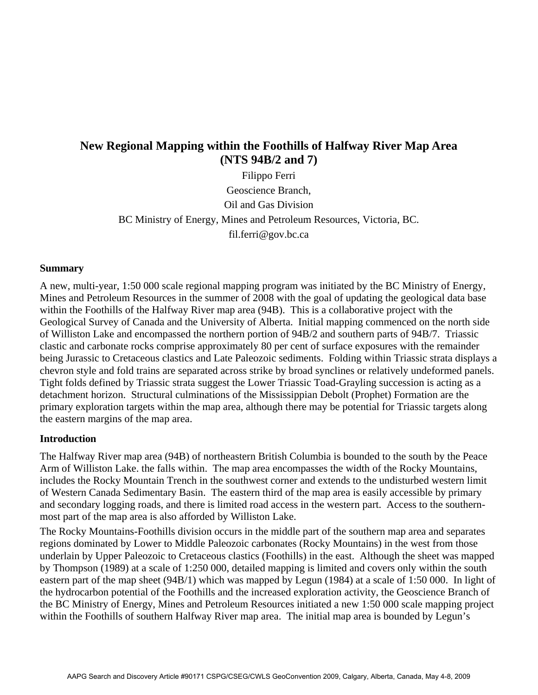# **New Regional Mapping within the Foothills of Halfway River Map Area (NTS 94B/2 and 7)**

Filippo Ferri Geoscience Branch, Oil and Gas Division BC Ministry of Energy, Mines and Petroleum Resources, Victoria, BC. fil.ferri@gov.bc.ca

### **Summary**

A new, multi-year, 1:50 000 scale regional mapping program was initiated by the BC Ministry of Energy, Mines and Petroleum Resources in the summer of 2008 with the goal of updating the geological data base within the Foothills of the Halfway River map area (94B). This is a collaborative project with the Geological Survey of Canada and the University of Alberta. Initial mapping commenced on the north side of Williston Lake and encompassed the northern portion of 94B/2 and southern parts of 94B/7. Triassic clastic and carbonate rocks comprise approximately 80 per cent of surface exposures with the remainder being Jurassic to Cretaceous clastics and Late Paleozoic sediments. Folding within Triassic strata displays a chevron style and fold trains are separated across strike by broad synclines or relatively undeformed panels. Tight folds defined by Triassic strata suggest the Lower Triassic Toad-Grayling succession is acting as a detachment horizon. Structural culminations of the Mississippian Debolt (Prophet) Formation are the primary exploration targets within the map area, although there may be potential for Triassic targets along the eastern margins of the map area.

## **Introduction**

The Halfway River map area (94B) of northeastern British Columbia is bounded to the south by the Peace Arm of Williston Lake. the falls within. The map area encompasses the width of the Rocky Mountains, includes the Rocky Mountain Trench in the southwest corner and extends to the undisturbed western limit of Western Canada Sedimentary Basin. The eastern third of the map area is easily accessible by primary and secondary logging roads, and there is limited road access in the western part. Access to the southernmost part of the map area is also afforded by Williston Lake.

The Rocky Mountains-Foothills division occurs in the middle part of the southern map area and separates regions dominated by Lower to Middle Paleozoic carbonates (Rocky Mountains) in the west from those underlain by Upper Paleozoic to Cretaceous clastics (Foothills) in the east. Although the sheet was mapped by Thompson (1989) at a scale of 1:250 000, detailed mapping is limited and covers only within the south eastern part of the map sheet (94B/1) which was mapped by Legun (1984) at a scale of 1:50 000. In light of the hydrocarbon potential of the Foothills and the increased exploration activity, the Geoscience Branch of the BC Ministry of Energy, Mines and Petroleum Resources initiated a new 1:50 000 scale mapping project within the Foothills of southern Halfway River map area. The initial map area is bounded by Legun's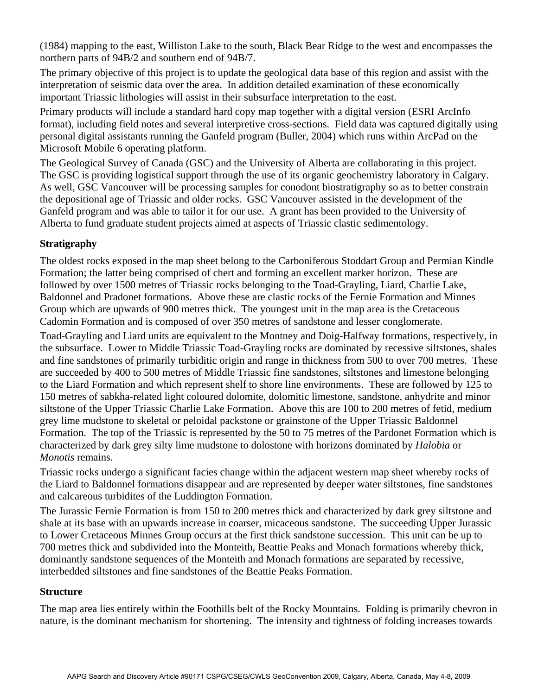(1984) mapping to the east, Williston Lake to the south, Black Bear Ridge to the west and encompasses the northern parts of 94B/2 and southern end of 94B/7.

The primary objective of this project is to update the geological data base of this region and assist with the interpretation of seismic data over the area. In addition detailed examination of these economically important Triassic lithologies will assist in their subsurface interpretation to the east.

Primary products will include a standard hard copy map together with a digital version (ESRI ArcInfo format), including field notes and several interpretive cross-sections. Field data was captured digitally using personal digital assistants running the Ganfeld program (Buller, 2004) which runs within ArcPad on the Microsoft Mobile 6 operating platform.

The Geological Survey of Canada (GSC) and the University of Alberta are collaborating in this project. The GSC is providing logistical support through the use of its organic geochemistry laboratory in Calgary. As well, GSC Vancouver will be processing samples for conodont biostratigraphy so as to better constrain the depositional age of Triassic and older rocks. GSC Vancouver assisted in the development of the Ganfeld program and was able to tailor it for our use. A grant has been provided to the University of Alberta to fund graduate student projects aimed at aspects of Triassic clastic sedimentology.

## **Stratigraphy**

The oldest rocks exposed in the map sheet belong to the Carboniferous Stoddart Group and Permian Kindle Formation; the latter being comprised of chert and forming an excellent marker horizon. These are followed by over 1500 metres of Triassic rocks belonging to the Toad-Grayling, Liard, Charlie Lake, Baldonnel and Pradonet formations. Above these are clastic rocks of the Fernie Formation and Minnes Group which are upwards of 900 metres thick. The youngest unit in the map area is the Cretaceous Cadomin Formation and is composed of over 350 metres of sandstone and lesser conglomerate.

Toad-Grayling and Liard units are equivalent to the Montney and Doig-Halfway formations, respectively, in the subsurface. Lower to Middle Triassic Toad-Grayling rocks are dominated by recessive siltstones, shales and fine sandstones of primarily turbiditic origin and range in thickness from 500 to over 700 metres. These are succeeded by 400 to 500 metres of Middle Triassic fine sandstones, siltstones and limestone belonging to the Liard Formation and which represent shelf to shore line environments. These are followed by 125 to 150 metres of sabkha-related light coloured dolomite, dolomitic limestone, sandstone, anhydrite and minor siltstone of the Upper Triassic Charlie Lake Formation. Above this are 100 to 200 metres of fetid, medium grey lime mudstone to skeletal or peloidal packstone or grainstone of the Upper Triassic Baldonnel Formation. The top of the Triassic is represented by the 50 to 75 metres of the Pardonet Formation which is characterized by dark grey silty lime mudstone to dolostone with horizons dominated by *Halobia* or *Monotis* remains.

Triassic rocks undergo a significant facies change within the adjacent western map sheet whereby rocks of the Liard to Baldonnel formations disappear and are represented by deeper water siltstones, fine sandstones and calcareous turbidites of the Luddington Formation.

The Jurassic Fernie Formation is from 150 to 200 metres thick and characterized by dark grey siltstone and shale at its base with an upwards increase in coarser, micaceous sandstone. The succeeding Upper Jurassic to Lower Cretaceous Minnes Group occurs at the first thick sandstone succession. This unit can be up to 700 metres thick and subdivided into the Monteith, Beattie Peaks and Monach formations whereby thick, dominantly sandstone sequences of the Monteith and Monach formations are separated by recessive, interbedded siltstones and fine sandstones of the Beattie Peaks Formation.

## **Structure**

The map area lies entirely within the Foothills belt of the Rocky Mountains. Folding is primarily chevron in nature, is the dominant mechanism for shortening. The intensity and tightness of folding increases towards